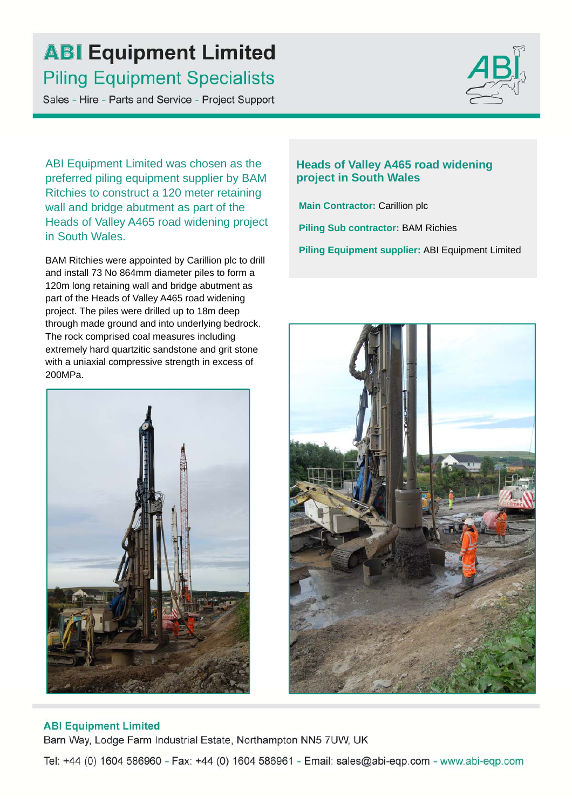## **ABI Equipment Limited Piling Equipment Specialists**

Sales - Hire - Parts and Service - Project Support



ABI Equipment Limited was chosen as the preferred piling equipment supplier by BAM Ritchies to construct a 120 meter retaining wall and bridge abutment as part of the Heads of Valley A465 road widening project in South Wales.

BAM Ritchies were appointed by Carillion plc to drill and install 73 No 864mm diameter piles to form a 120m long retaining wall and bridge abutment as part of the Heads of Valley A465 road widening project. The piles were drilled up to 18m deep through made ground and into underlying bedrock. The rock comprised coal measures including extremely hard quartzitic sandstone and grit stone with a uniaxial compressive strength in excess of 200MPa.



### **Heads of Valley A465 road widening project in South Wales**

**Main Contractor:** Carillion plc **Piling Sub contractor:** BAM Richies **Piling Equipment supplier:** ABI Equipment Limited



#### **ABI Equipment Limited**

Barn Way, Lodge Farm Industrial Estate, Northampton NN5 7UW, UK

Tel: +44 (0) 1604 586960 - Fax: +44 (0) 1604 586961 - Email: sales@abi-eqp.com - www.abi-eqp.com